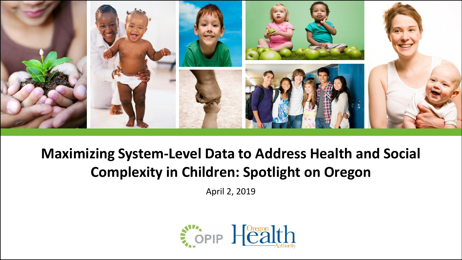

# **Maximizing System-Level Data to Address Health and Social Complexity in Children: Spotlight on Oregon**

April 2, 2019

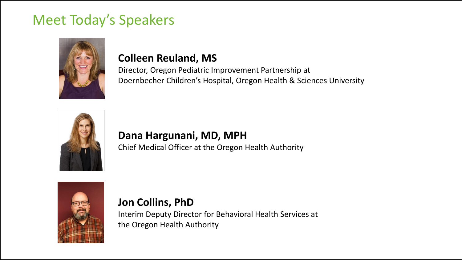# Meet Today's Speakers



#### **Colleen Reuland, MS**

Director, Oregon Pediatric Improvement Partnership at Doernbecher Children's Hospital, Oregon Health & Sciences University



#### **Dana Hargunani, MD, MPH**

Chief Medical Officer at the Oregon Health Authority



#### **Jon Collins, PhD**

Interim Deputy Director for Behavioral Health Services at the Oregon Health Authority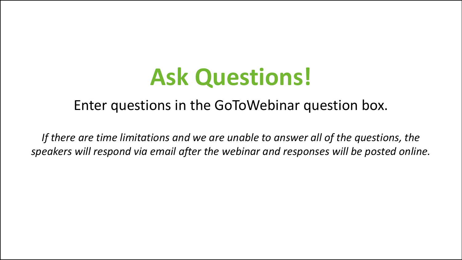# **Ask Questions!**

# Enter questions in the GoToWebinar question box.

If there are time limitations and we are unable to answer all of the questions, the *speakers will respond via email after the webinar and responses will be posted online.*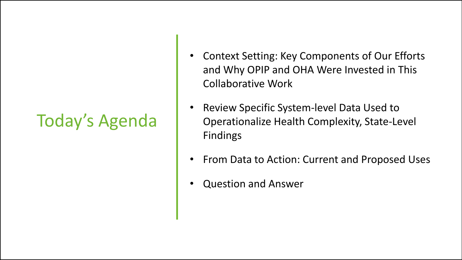# Today's Agenda

- Context Setting: Key Components of Our Efforts and Why OPIP and OHA Were Invested in This Collaborative Work
- Review Specific System-level Data Used to Operationalize Health Complexity, State-Level Findings
- From Data to Action: Current and Proposed Uses
- Question and Answer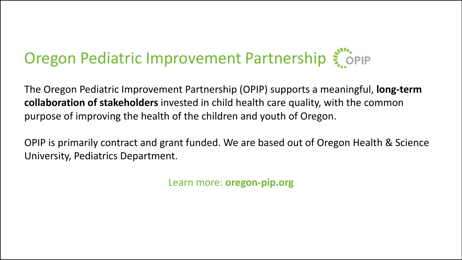# Oregon Pediatric Improvement Partnership

The Oregon Pediatric Improvement Partnership (OPIP) supports a meaningful, **long-term collaboration of stakeholders** invested in child health care quality, with the common purpose of improving the health of the children and youth of Oregon.

OPIP is primarily contract and grant funded. We are based out of Oregon Health & Science University, Pediatrics Department.

Learn more: **oregon-pip.org**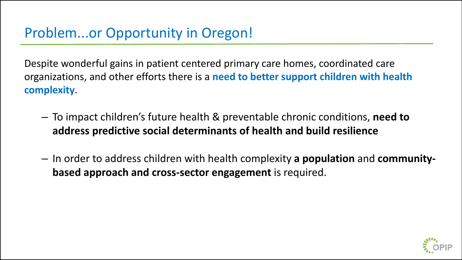Despite wonderful gains in patient centered primary care homes, coordinated care organizations, and other efforts there is a **need to better support children with health complexity**.

- To impact children's future health & preventable chronic conditions, **need to address predictive social determinants of health and build resilience**
- In order to address children with health complexity **a population** and **communitybased approach and cross-sector engagement** is required.

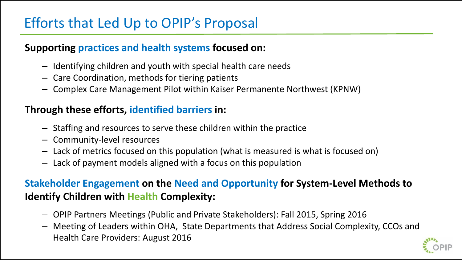# Efforts that Led Up to OPIP's Proposal

#### **Supporting practices and health systems focused on:**

- Identifying children and youth with special health care needs
- Care Coordination, methods for tiering patients
- Complex Care Management Pilot within Kaiser Permanente Northwest (KPNW)

#### **Through these efforts, identified barriers in:**

- Staffing and resources to serve these children within the practice
- Community-level resources
- Lack of metrics focused on this population (what is measured is what is focused on)
- Lack of payment models aligned with a focus on this population

### **Stakeholder Engagement on the Need and Opportunity for System-Level Methods to Identify Children with Health Complexity:**

- OPIP Partners Meetings (Public and Private Stakeholders): Fall 2015, Spring 2016
- Meeting of Leaders within OHA, State Departments that Address Social Complexity, CCOs and Health Care Providers: August 2016

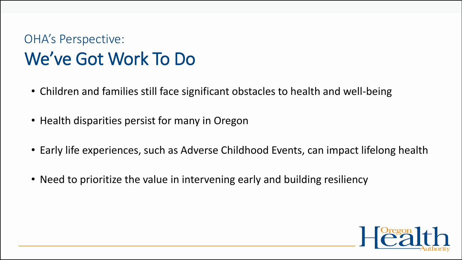# OHA's Perspective: We've Got Work To Do

- Children and families still face significant obstacles to health and well-being
- Health disparities persist for many in Oregon
- Early life experiences, such as Adverse Childhood Events, can impact lifelong health
- Need to prioritize the value in intervening early and building resiliency

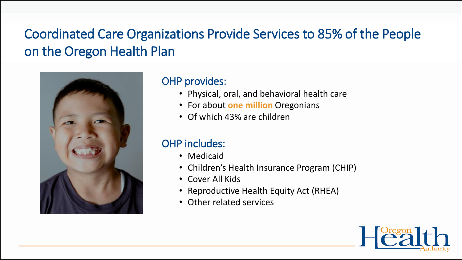# Coordinated Care Organizations Provide Services to 85% of the People on the Oregon Health Plan



#### OHP provides:

- Physical, oral, and behavioral health care
- For about **one million** Oregonians
- Of which 43% are children

#### OHP includes:

- Medicaid
- Children's Health Insurance Program (CHIP)
- Cover All Kids
- Reproductive Health Equity Act (RHEA)
- Other related services

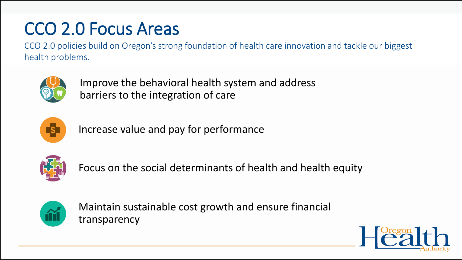# CCO 2.0 Focus Areas

CCO 2.0 policies build on Oregon's strong foundation of health care innovation and tackle our biggest health problems.



Improve the behavioral health system and address barriers to the integration of care



Increase value and pay for performance



Focus on the social determinants of health and health equity



Maintain sustainable cost growth and ensure financial transparency

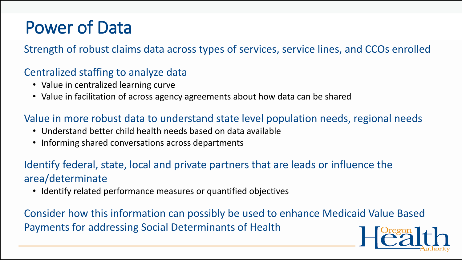# Power of Data

Strength of robust claims data across types of services, service lines, and CCOs enrolled

#### Centralized staffing to analyze data

- Value in centralized learning curve
- Value in facilitation of across agency agreements about how data can be shared

#### Value in more robust data to understand state level population needs, regional needs

- Understand better child health needs based on data available
- Informing shared conversations across departments

### Identify federal, state, local and private partners that are leads or influence the area/determinate

• Identify related performance measures or quantified objectives

Consider how this information can possibly be used to enhance Medicaid Value Based Payments for addressing Social Determinants of Health

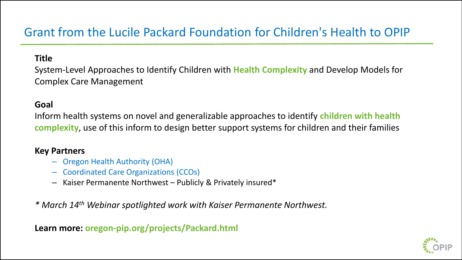## Grant from the Lucile Packard Foundation for Children's Health to OPIP

#### **Title**

System-Level Approaches to Identify Children with **Health Complexity** and Develop Models for Complex Care Management

#### **Goal**

Inform health systems on novel and generalizable approaches to identify **children with health complexity**, use of this inform to design better support systems for children and their families

#### **Key Partners**

- Oregon Health Authority (OHA)
- Coordinated Care Organizations (CCOs)
- Kaiser Permanente Northwest Publicly & Privately insured\*

*\* March 14th Webinar spotlighted work with Kaiser Permanente Northwest.* 

**Learn more: oregon-pip.org/projects/Packard.html**

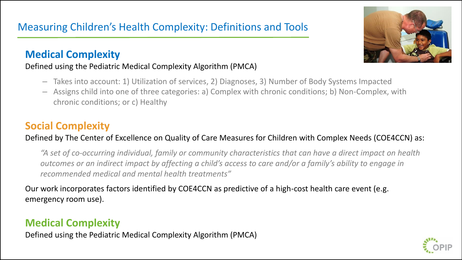#### **Medical Complexity**

#### Defined using the Pediatric Medical Complexity Algorithm (PMCA)

- Takes into account: 1) Utilization of services, 2) Diagnoses, 3) Number of Body Systems Impacted
- Assigns child into one of three categories: a) Complex with chronic conditions; b) Non-Complex, with chronic conditions; or c) Healthy

### **Social Complexity**

#### Defined by The Center of Excellence on Quality of Care Measures for Children with Complex Needs (COE4CCN) as:

*"A set of co-occurring individual, family or community characteristics that can have a direct impact on health outcomes or an indirect impact by affecting a child's access to care and/or a family's ability to engage in recommended medical and mental health treatments"* 

Our work incorporates factors identified by COE4CCN as predictive of a high-cost health care event (e.g. emergency room use).

### **Medical Complexity**

Defined using the Pediatric Medical Complexity Algorithm (PMCA)



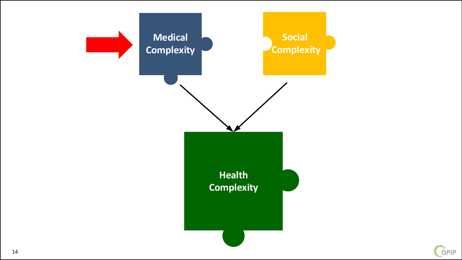

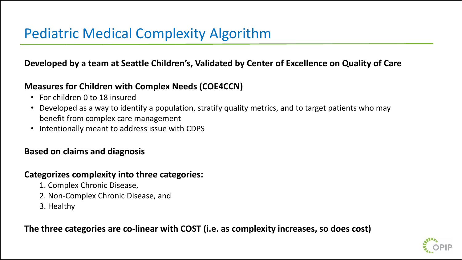**Developed by a team at Seattle Children's, Validated by Center of Excellence on Quality of Care** 

#### **Measures for Children with Complex Needs (COE4CCN)**

- For children 0 to 18 insured
- Developed as a way to identify a population, stratify quality metrics, and to target patients who may benefit from complex care management
- Intentionally meant to address issue with CDPS

#### **Based on claims and diagnosis**

#### **Categorizes complexity into three categories:**

- 1. Complex Chronic Disease,
- 2. Non-Complex Chronic Disease, and
- 3. Healthy

**The three categories are co-linear with COST (i.e. as complexity increases, so does cost)**

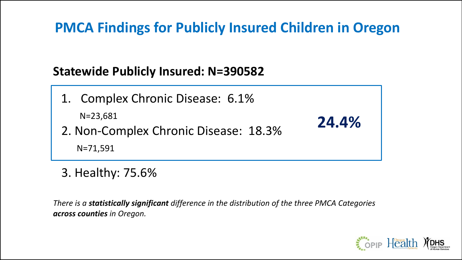# **PMCA Findings for Publicly Insured Children in Oregon**

## **Statewide Publicly Insured: N=390582**

1. Complex Chronic Disease: 6.1% N=23,681 2. Non-Complex Chronic Disease: 18.3%

N=71,591

3. Healthy: 75.6%

*There is a statistically significant difference in the distribution of the three PMCA Categories across counties in Oregon.*



**24.4%**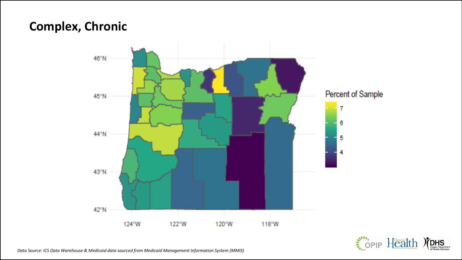### **Complex, Chronic**



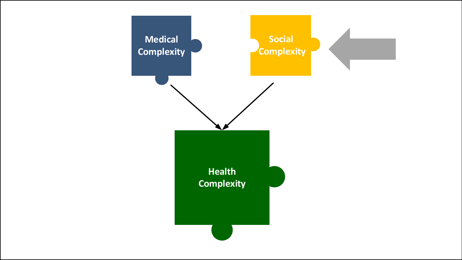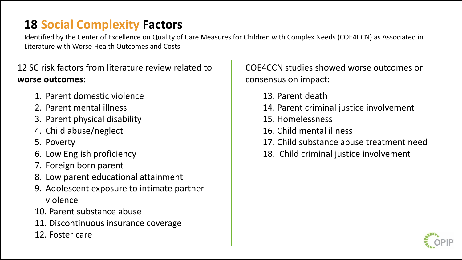## **18 Social Complexity Factors**

Identified by the Center of Excellence on Quality of Care Measures for Children with Complex Needs (COE4CCN) as Associated in Literature with Worse Health Outcomes and Costs

12 SC risk factors from literature review related to **worse outcomes:**

- 1. Parent domestic violence
- 2. Parent mental illness
- 3. Parent physical disability
- 4. Child abuse/neglect
- 5. Poverty
- 6. Low English proficiency
- 7. Foreign born parent
- 8. Low parent educational attainment
- 9. Adolescent exposure to intimate partner violence
- 10. Parent substance abuse
- 11. Discontinuous insurance coverage
- 12. Foster care

COE4CCN studies showed worse outcomes or consensus on impact:

- 13. Parent death
- 14. Parent criminal justice involvement
- 15. Homelessness
- 16. Child mental illness
- 17. Child substance abuse treatment need
- 18. Child criminal justice involvement

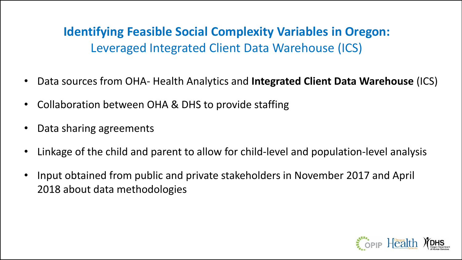**Identifying Feasible Social Complexity Variables in Oregon:**  Leveraged Integrated Client Data Warehouse (ICS)

- Data sources from OHA- Health Analytics and **Integrated Client Data Warehouse** (ICS)
- Collaboration between OHA & DHS to provide staffing
- Data sharing agreements
- Linkage of the child and parent to allow for child-level and population-level analysis
- Input obtained from public and private stakeholders in November 2017 and April 2018 about data methodologies

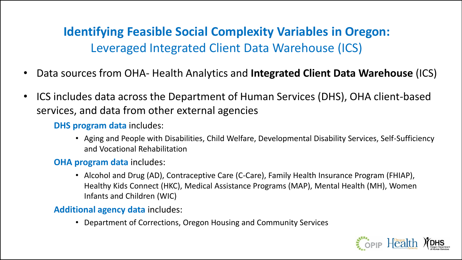**Identifying Feasible Social Complexity Variables in Oregon:**  Leveraged Integrated Client Data Warehouse (ICS)

- Data sources from OHA- Health Analytics and **Integrated Client Data Warehouse** (ICS)
- ICS includes data across the Department of Human Services (DHS), OHA client-based services, and data from other external agencies

**DHS program data** includes:

• Aging and People with Disabilities, Child Welfare, Developmental Disability Services, Self-Sufficiency and Vocational Rehabilitation

#### **OHA program data** includes:

• Alcohol and Drug (AD), Contraceptive Care (C-Care), Family Health Insurance Program (FHIAP), Healthy Kids Connect (HKC), Medical Assistance Programs (MAP), Mental Health (MH), Women Infants and Children (WIC)

**Additional agency data** includes:

• Department of Corrections, Oregon Housing and Community Services

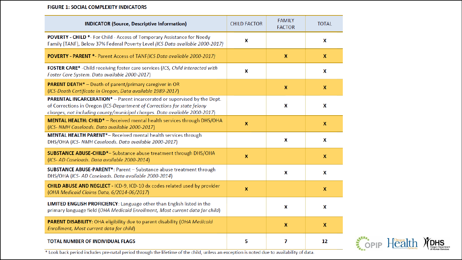#### FIGURE 1: SOCIAL COMPLEXITY INDICATORS

| <b>INDICATOR (Source, Descriptive Information)</b>                                                                                                                                                                                 | <b>CHILD FACTOR</b> | <b>FAMILY</b><br><b>FACTOR</b> | <b>TOTAL</b> |
|------------------------------------------------------------------------------------------------------------------------------------------------------------------------------------------------------------------------------------|---------------------|--------------------------------|--------------|
| POVERTY - CHILD *- For Child - Access of Temporary Assistance for Needy<br>Family [TANF}, Below 37% Federal Poverty Level (ICS Data available 2000-2017)                                                                           | X                   |                                | X            |
| POVERTY - PARENT *- Parent Access of TANF(ICS Data available 2000-2017)                                                                                                                                                            |                     | $\mathbf{x}$                   | $\mathbf{x}$ |
| FOSTER CARE* - Child receiving foster care services (ICS, Child interacted with<br>Foster Care System. Data available 2000-2017)                                                                                                   | x                   |                                | X            |
| <b>PARENT DEATH*</b> - Death of parent/primary caregiver in OR<br>(ICS-Death Certificate in Oregon, Data available 1989-2017)                                                                                                      |                     | $\mathbf{x}$                   | $\mathbf x$  |
| PARENTAL INCARCERATION* - Parent incarcerated or supervised by the Dept.<br>of Corrections in Oregon (ICS-Department of Corrections for state felony<br>charges, not including county/municipal charges. Data available 2000-2017) |                     | X                              | X            |
| MENTAL HEALTH: CHILD* - Received mental health services through DHS/OHA<br>(ICS- NMH Caseloads. Data available 2000-2017)                                                                                                          | $\boldsymbol{x}$    |                                | $\mathbf x$  |
| <b>MENTAL HEALTH PARENT*-</b> Received mental health services through<br>DHS/OHA (ICS- NMH Caseloads. Data available 2000-2017)                                                                                                    |                     | X                              | X            |
| <b>SUBSTANCE ABUSE-CHILD*-</b> Substance abuse treatment through DHS/OHA<br>(ICS-AD Caseloads. Data available 2000-2014)                                                                                                           | X                   |                                | X            |
| <b>SUBSTANCE ABUSE-PARENT*:</b> Parent - Substance abuse treatment through<br>DHS/OHA (ICS-AD Caseloads. Data available 2000-2014)                                                                                                 |                     | X                              | X            |
| CHILD ABUSE AND NEGLECT - ICD-9, ICD-10 dx codes related used by provider<br>(OHA Medicaid Claims Data, 6/2014-06/2017)                                                                                                            | X                   |                                | X            |
| <b>LIMITED ENGLISH PROFICIENCY:</b> Language other than English listed in the<br>primary language field (OHA Medicaid Enrollment, Most current data for child)                                                                     |                     | X                              | X            |
| <b>PARENT DISABILITY:</b> OHA eligibility due to parent disability (OHA Medicaid<br>Enrollment, Most current data for child)                                                                                                       |                     | $\mathbf{x}$                   | X            |
| <b>TOTAL NUMBER OF INDIVIDUAL FLAGS</b>                                                                                                                                                                                            | 5                   | 7                              | 12           |

\* Look back period includes pre-natal period through the lifetime of the child, unless an exception is noted due to availability of data.

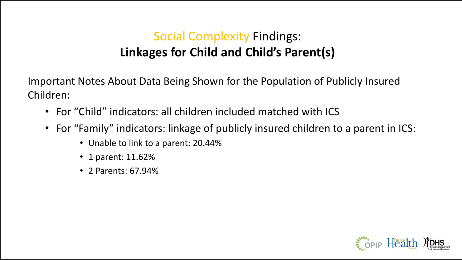# Social Complexity Findings: **Linkages for Child and Child's Parent(s)**

Important Notes About Data Being Shown for the Population of Publicly Insured Children:

- For "Child" indicators: all children included matched with ICS
- For "Family" indicators: linkage of publicly insured children to a parent in ICS:
	- Unable to link to a parent: 20.44%
	- 1 parent: 11.62%
	- 2 Parents: 67.94%

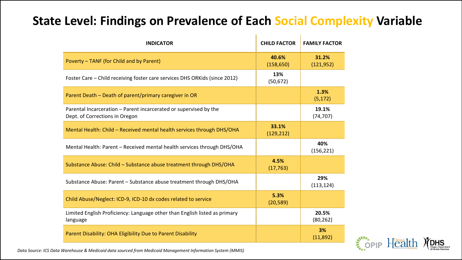## **State Level: Findings on Prevalence of Each Social Complexity Variable**

| <b>INDICATOR</b>                                                                                    | <b>CHILD FACTOR</b> | <b>FAMILY FACTOR</b> |
|-----------------------------------------------------------------------------------------------------|---------------------|----------------------|
| Poverty - TANF (for Child and by Parent)                                                            | 40.6%<br>(158, 650) | 31.2%<br>(121, 952)  |
| Foster Care – Child receiving foster care services DHS ORKids (since 2012)                          | 13%<br>(50, 672)    |                      |
| Parent Death - Death of parent/primary caregiver in OR                                              |                     | 1.3%<br>(5, 172)     |
| Parental Incarceration - Parent incarcerated or supervised by the<br>Dept. of Corrections in Oregon |                     | 19.1%<br>(74, 707)   |
| Mental Health: Child - Received mental health services through DHS/OHA                              | 33.1%<br>(129, 212) |                      |
| Mental Health: Parent - Received mental health services through DHS/OHA                             |                     | 40%<br>(156, 221)    |
| Substance Abuse: Child - Substance abuse treatment through DHS/OHA                                  | 4.5%<br>(17, 763)   |                      |
| Substance Abuse: Parent – Substance abuse treatment through DHS/OHA                                 |                     | 29%<br>(113, 124)    |
| Child Abuse/Neglect: ICD-9, ICD-10 dx codes related to service                                      | 5.3%<br>(20, 589)   |                      |
| Limited English Proficiency: Language other than English listed as primary<br>language              |                     | 20.5%<br>(80, 262)   |
| Parent Disability: OHA Eligibility Due to Parent Disability                                         |                     | 3%<br>(11,892)       |

Sopie Health

*Data Source: ICS Data Warehouse & Medicaid data sourced from Medicaid Management Information System (MMIS)*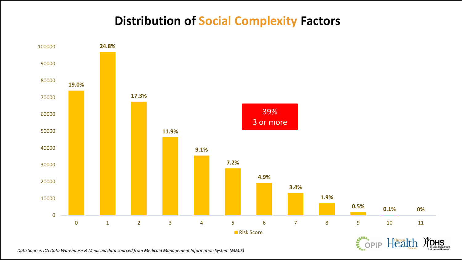## **Distribution of Social Complexity Factors**



*Data Source: ICS Data Warehouse & Medicaid data sourced from Medicaid Management Information System (MMIS)*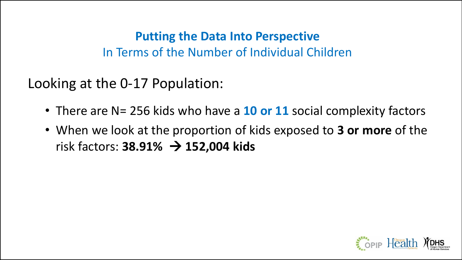## **Putting the Data Into Perspective**  In Terms of the Number of Individual Children

Looking at the 0-17 Population:

- There are N= 256 kids who have a **10 or 11** social complexity factors
- When we look at the proportion of kids exposed to **3 or more** of the risk factors: **38.91%** → **152,004 kids**

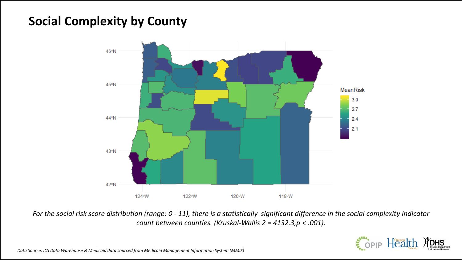## **Social Complexity by County**



*For the social risk score distribution (range: 0 - 11), there is a statistically significant difference in the social complexity indicator count between counties. (Kruskal-Wallis 2 = 4132.3,p < .001).*

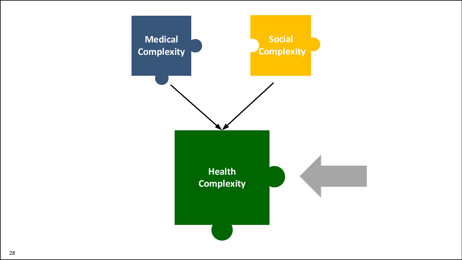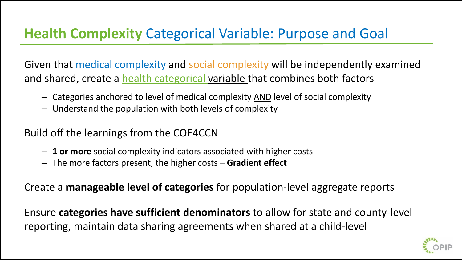# **Health Complexity** Categorical Variable: Purpose and Goal

Given that medical complexity and social complexity will be independently examined and shared, create a health categorical variable that combines both factors

- Categories anchored to level of medical complexity AND level of social complexity
- Understand the population with both levels of complexity

Build off the learnings from the COE4CCN

- **1 or more** social complexity indicators associated with higher costs
- The more factors present, the higher costs **Gradient effect**

Create a **manageable level of categories** for population-level aggregate reports

Ensure **categories have sufficient denominators** to allow for state and county-level reporting, maintain data sharing agreements when shared at a child-level

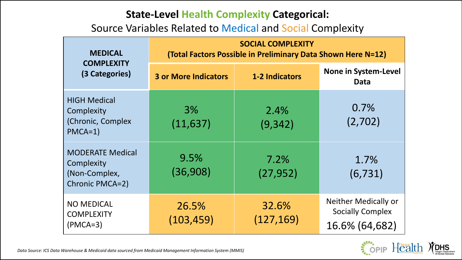#### **State-Level Health Complexity Categorical:**

Source Variables Related to Medical and Social Complexity

| <b>MEDICAL</b>                                                            | <b>SOCIAL COMPLEXITY</b><br>(Total Factors Possible in Preliminary Data Shown Here N=12) |                       |                                                                          |  |  |  |
|---------------------------------------------------------------------------|------------------------------------------------------------------------------------------|-----------------------|--------------------------------------------------------------------------|--|--|--|
| <b>COMPLEXITY</b><br>(3 Categories)                                       | <b>3 or More Indicators</b>                                                              | <b>1-2 Indicators</b> | <b>None in System-Level</b><br><b>Data</b>                               |  |  |  |
| <b>HIGH Medical</b><br>Complexity<br>(Chronic, Complex<br>$PMCA=1)$       | 3%<br>(11, 637)                                                                          | 2.4%<br>(9, 342)      | 0.7%<br>(2,702)                                                          |  |  |  |
| <b>MODERATE Medical</b><br>Complexity<br>(Non-Complex,<br>Chronic PMCA=2) | 9.5%<br>(36,908)                                                                         | 7.2%<br>(27, 952)     | 1.7%<br>(6, 731)                                                         |  |  |  |
| <b>NO MEDICAL</b><br><b>COMPLEXITY</b><br>$(PMCA=3)$                      | 26.5%<br>(103, 459)                                                                      | 32.6%<br>(127, 169)   | <b>Neither Medically or</b><br><b>Socially Complex</b><br>16.6% (64,682) |  |  |  |

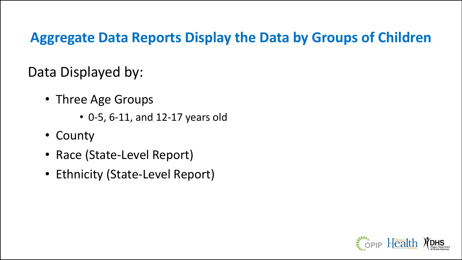# **Aggregate Data Reports Display the Data by Groups of Children**

Data Displayed by:

- Three Age Groups
	- 0-5, 6-11, and 12-17 years old
- County
- Race (State-Level Report)
- Ethnicity (State-Level Report)

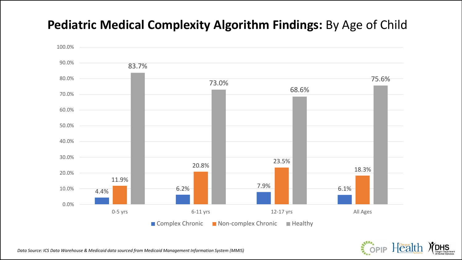## **Pediatric Medical Complexity Algorithm Findings:** By Age of Child



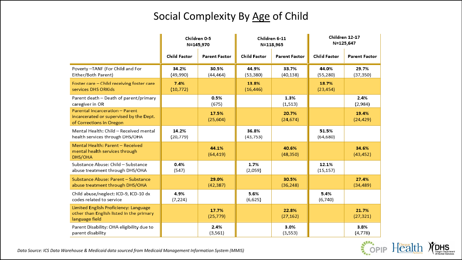#### Social Complexity By Age of Child

|                                                                                                        | Children 0-5<br>N=145,970 |                      | Children 6-11<br>N=118,965 |                      | Children 12-17<br>N=125,647 |                      |
|--------------------------------------------------------------------------------------------------------|---------------------------|----------------------|----------------------------|----------------------|-----------------------------|----------------------|
|                                                                                                        | <b>Child Factor</b>       | <b>Parent Factor</b> | <b>Child Factor</b>        | <b>Parent Factor</b> | <b>Child Factor</b>         | <b>Parent Factor</b> |
| Poverty-TANF (For Child and For<br>Either/Both Parent)                                                 | 34.2%<br>(49,990)         | 30.5%<br>(44,464)    | 44.9%<br>(53, 380)         | 33.7%<br>(40, 138)   | 44.0%<br>(55, 280)          | 29.7%<br>(37, 350)   |
| Foster care - Child receiving foster care<br>services DHS ORKids                                       | 7.4%<br>(10, 772)         |                      | 13.8%<br>(16, 446)         |                      | 18.7%<br>(23, 454)          |                      |
| Parent death - Death of parent/primary<br>caregiver in OR                                              |                           | 0.5%<br>(675)        |                            | 1.3%<br>(1, 513)     |                             | 2.4%<br>(2,984)      |
| Parental incarceration - Parent<br>incarcerated or supervised by the Dept.<br>of Corrections in Oregon |                           | 17.5%<br>(25, 604)   |                            | 20.7%<br>(24, 674)   |                             | 19.4%<br>(24, 429)   |
| Mental Health: Child - Received mental<br>health services through DHS/OHA                              | 14.2%<br>(20, 779)        |                      | 36.8%<br>(43, 753)         |                      | 51.5%<br>(64, 680)          |                      |
| Mental Health: Parent - Received<br>mental health services through<br>DHS/OHA                          |                           | 44.1%<br>(64, 419)   |                            | 40.6%<br>(48, 350)   |                             | 34.6%<br>(43, 452)   |
| Substance Abuse: Child - Substance<br>abuse treatment through DHS/OHA                                  | 0.4%<br>(547)             |                      | 1.7%<br>(2,059)            |                      | 12.1%<br>(15, 157)          |                      |
| Substance Abuse: Parent - Substance<br>abuse treatment through DHS/OHA                                 |                           | 29.0%<br>(42, 387)   |                            | 30.5%<br>(36, 248)   |                             | 27.4%<br>(34, 489)   |
| Child abuse/neglect: ICD-9, ICD-10 dx<br>codes related to service                                      | 4.9%<br>(7, 224)          |                      | 5.6%<br>(6,625)            |                      | 5.4%<br>(6,740)             |                      |
| Limited English Proficiency: Language<br>other than English listed in the primary<br>language field    |                           | 17.7%<br>(25, 779)   |                            | 22.8%<br>(27, 162)   |                             | 21.7%<br>(27, 321)   |
| Parent Disability: OHA eligibility due to<br>parent disability                                         |                           | 2.4%<br>(3, 561)     |                            | 3.0%<br>(3, 553)     |                             | 3.8%<br>(4, 778)     |

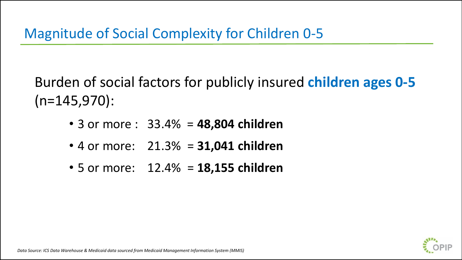Burden of social factors for publicly insured **children ages 0-5**   $(n=145,970)$ :

- 3 or more : 33.4% = **48,804 children**
- 4 or more: 21.3% = **31,041 children**
- 5 or more: 12.4% = **18,155 children**

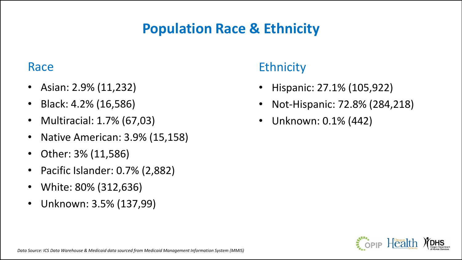# **Population Race & Ethnicity**

### Race

- Asian: 2.9% (11,232)
- Black: 4.2% (16,586)
- Multiracial: 1.7% (67,03)
- Native American: 3.9% (15,158)
- Other: 3% (11,586)
- Pacific Islander: 0.7% (2,882)
- White: 80% (312,636)
- Unknown: 3.5% (137,99)

# **Ethnicity**

- Hispanic: 27.1% (105,922)
- Not-Hispanic: 72.8% (284,218)
- Unknown: 0.1% (442)

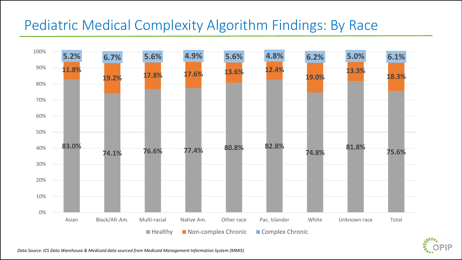# Pediatric Medical Complexity Algorithm Findings: By Race



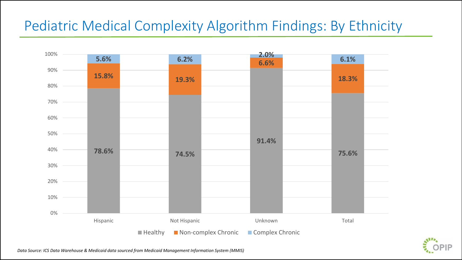# Pediatric Medical Complexity Algorithm Findings: By Ethnicity



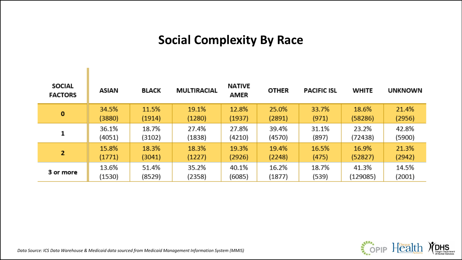## **Social Complexity By Race**

| <b>SOCIAL</b><br><b>FACTORS</b> | ASIAN  | <b>BLACK</b> | <b>MULTIRACIAL</b> | <b>NATIVE</b><br><b>AMER</b> | <b>OTHER</b> | <b>PACIFIC ISL</b> | <b>WHITE</b> | <b>UNKNOWN</b> |
|---------------------------------|--------|--------------|--------------------|------------------------------|--------------|--------------------|--------------|----------------|
| O                               | 34.5%  | 11.5%        | 19.1%              | 12.8%                        | 25.0%        | 33.7%              | 18.6%        | 21.4%          |
|                                 | (3880) | (1914)       | (1280)             | (1937)                       | (2891)       | (971)              | (58286)      | (2956)         |
| 1                               | 36.1%  | 18.7%        | 27.4%              | 27.8%                        | 39.4%        | 31.1%              | 23.2%        | 42.8%          |
|                                 | (4051) | (3102)       | (1838)             | (4210)                       | (4570)       | (897)              | (72438)      | (5900)         |
| $\overline{2}$                  | 15.8%  | 18.3%        | 18.3%              | 19.3%                        | 19.4%        | 16.5%              | 16.9%        | 21.3%          |
|                                 | (1771) | (3041)       | (1227)             | (2926)                       | (2248)       | (475)              | (52827)      | (2942)         |
| 3 or more                       | 13.6%  | 51.4%        | 35.2%              | 40.1%                        | 16.2%        | 18.7%              | 41.3%        | 14.5%          |
|                                 | (1530) | (8529)       | (2358)             | (6085)                       | (1877)       | (539)              | (129085)     | (2001)         |

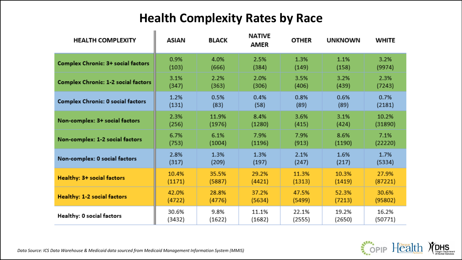## **Health Complexity Rates by Race**

| <b>HEALTH COMPLEXITY</b>                   | <b>ASIAN</b> | <b>BLACK</b> | <b>NATIVE</b><br><b>AMER</b> | <b>OTHER</b> | <b>UNKNOWN</b> | <b>WHITE</b> |
|--------------------------------------------|--------------|--------------|------------------------------|--------------|----------------|--------------|
| <b>Complex Chronic: 3+ social factors</b>  | 0.9%         | 4.0%         | 2.5%                         | 1.3%         | 1.1%           | 3.2%         |
|                                            | (103)        | (666)        | (384)                        | (149)        | (158)          | (9974)       |
| <b>Complex Chronic: 1-2 social factors</b> | 3.1%         | 2.2%         | 2.0%                         | 3.5%         | 3.2%           | 2.3%         |
|                                            | (347)        | (363)        | (306)                        | (406)        | (439)          | (7243)       |
| <b>Complex Chronic: 0 social factors</b>   | 1.2%         | 0.5%         | 0.4%                         | 0.8%         | 0.6%           | 0.7%         |
|                                            | (131)        | (83)         | (58)                         | (89)         | (89)           | (2181)       |
| Non-complex: 3+ social factors             | 2.3%         | 11.9%        | 8.4%                         | 3.6%         | 3.1%           | 10.2%        |
|                                            | (256)        | (1976)       | (1280)                       | (415)        | (424)          | (31890)      |
| Non-complex: 1-2 social factors            | 6.7%         | 6.1%         | 7.9%                         | 7.9%         | 8.6%           | 7.1%         |
|                                            | (753)        | (1004)       | (1196)                       | (913)        | (1190)         | (22220)      |
| Non-complex: 0 social factors              | 2.8%         | 1.3%         | 1.3%                         | 2.1%         | 1.6%           | 1.7%         |
|                                            | (317)        | (209)        | (197)                        | (247)        | (217)          | (5334)       |
| Healthy: 3+ social factors                 | 10.4%        | 35.5%        | 29.2%                        | 11.3%        | 10.3%          | 27.9%        |
|                                            | (1171)       | (5887)       | (4421)                       | (1313)       | (1419)         | (87221)      |
| Healthy: 1-2 social factors                | 42.0%        | 28.8%        | 37.2%                        | 47.5%        | 52.3%          | 30.6%        |
|                                            | (4722)       | (4776)       | (5634)                       | (5499)       | (7213)         | (95802)      |
| Healthy: 0 social factors                  | 30.6%        | 9.8%         | 11.1%                        | 22.1%        | 19.2%          | 16.2%        |
|                                            | (3432)       | (1622)       | (1682)                       | (2555)       | (2650)         | (50771)      |

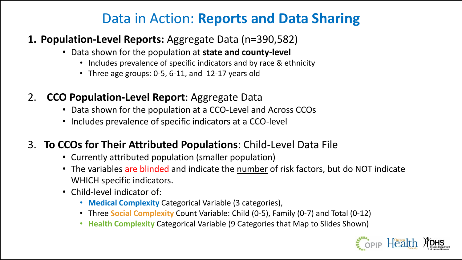# Data in Action: **Reports and Data Sharing**

#### **1. Population-Level Reports:** Aggregate Data (n=390,582)

- Data shown for the population at **state and county-level**
	- Includes prevalence of specific indicators and by race & ethnicity
	- Three age groups: 0-5, 6-11, and 12-17 years old
- 2. **CCO Population-Level Report**: Aggregate Data
	- Data shown for the population at a CCO-Level and Across CCOs
	- Includes prevalence of specific indicators at a CCO-level
- 3. **To CCOs for Their Attributed Populations**: Child-Level Data File
	- Currently attributed population (smaller population)
	- The variables are blinded and indicate the number of risk factors, but do NOT indicate WHICH specific indicators.
	- Child-level indicator of:
		- **Medical Complexity** Categorical Variable (3 categories),
		- Three **Social Complexity** Count Variable: Child (0-5), Family (0-7) and Total (0-12)
		- **Health Complexity** Categorical Variable (9 Categories that Map to Slides Shown)

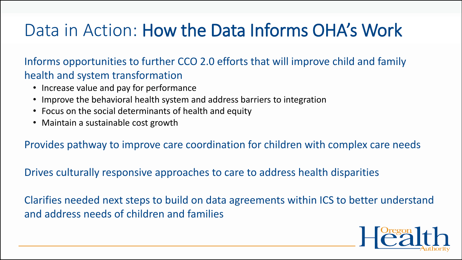# Data in Action: How the Data Informs OHA's Work

Informs opportunities to further CCO 2.0 efforts that will improve child and family health and system transformation

- Increase value and pay for performance
- Improve the behavioral health system and address barriers to integration
- Focus on the social determinants of health and equity
- Maintain a sustainable cost growth

Provides pathway to improve care coordination for children with complex care needs

Drives culturally responsive approaches to care to address health disparities

Clarifies needed next steps to build on data agreements within ICS to better understand and address needs of children and families

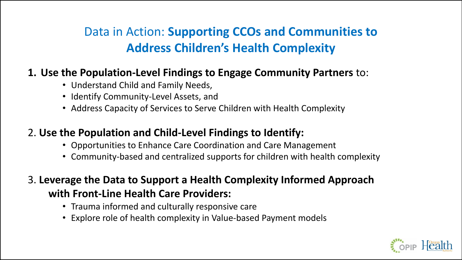# Data in Action: **Supporting CCOs and Communities to Address Children's Health Complexity**

#### **1. Use the Population-Level Findings to Engage Community Partners** to:

- Understand Child and Family Needs,
- Identify Community-Level Assets, and
- Address Capacity of Services to Serve Children with Health Complexity

#### 2. **Use the Population and Child-Level Findings to Identify:**

- Opportunities to Enhance Care Coordination and Care Management
- Community-based and centralized supports for children with health complexity

### 3. **Leverage the Data to Support a Health Complexity Informed Approach with Front-Line Health Care Providers:**

- Trauma informed and culturally responsive care
- Explore role of health complexity in Value-based Payment models

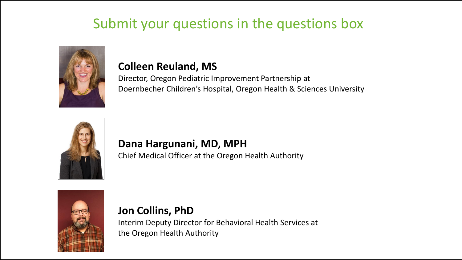# Submit your questions in the questions box



#### **Colleen Reuland, MS**

Director, Oregon Pediatric Improvement Partnership at Doernbecher Children's Hospital, Oregon Health & Sciences University



#### **Dana Hargunani, MD, MPH**

Chief Medical Officer at the Oregon Health Authority



**Jon Collins, PhD** Interim Deputy Director for Behavioral Health Services at the Oregon Health Authority